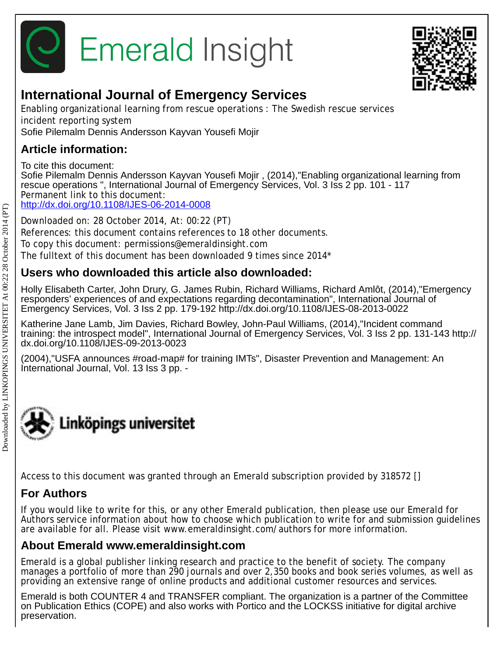



# **International Journal of Emergency Services**

Enabling organizational learning from rescue operations : The Swedish rescue services incident reporting system

Sofie Pilemalm Dennis Andersson Kayvan Yousefi Mojir

# **Article information:**

To cite this document:

Sofie Pilemalm Dennis Andersson Kayvan Yousefi Mojir , (2014),"Enabling organizational learning from rescue operations ", International Journal of Emergency Services, Vol. 3 Iss 2 pp. 101 - 117 Permanent link to this document: <http://dx.doi.org/10.1108/IJES-06-2014-0008>

Downloaded on: 28 October 2014, At: 00:22 (PT) References: this document contains references to 18 other documents. To copy this document: permissions@emeraldinsight.com The fulltext of this document has been downloaded 9 times since 2014\*

# **Users who downloaded this article also downloaded:**

Holly Elisabeth Carter, John Drury, G. James Rubin, Richard Williams, Richard Amlôt, (2014),"Emergency responders' experiences of and expectations regarding decontamination", International Journal of Emergency Services, Vol. 3 Iss 2 pp. 179-192 http://dx.doi.org/10.1108/IJES-08-2013-0022

Katherine Jane Lamb, Jim Davies, Richard Bowley, John-Paul Williams, (2014),"Incident command training: the introspect model", International Journal of Emergency Services, Vol. 3 Iss 2 pp. 131-143 http:// dx.doi.org/10.1108/IJES-09-2013-0023

(2004),"USFA announces #road-map# for training IMTs", Disaster Prevention and Management: An International Journal, Vol. 13 Iss 3 pp. -



Access to this document was granted through an Emerald subscription provided by 318572 []

# **For Authors**

If you would like to write for this, or any other Emerald publication, then please use our Emerald for Authors service information about how to choose which publication to write for and submission guidelines are available for all. Please visit www.emeraldinsight.com/authors for more information.

# **About Emerald www.emeraldinsight.com**

Emerald is a global publisher linking research and practice to the benefit of society. The company manages a portfolio of more than 290 journals and over 2,350 books and book series volumes, as well as providing an extensive range of online products and additional customer resources and services.

Emerald is both COUNTER 4 and TRANSFER compliant. The organization is a partner of the Committee on Publication Ethics (COPE) and also works with Portico and the LOCKSS initiative for digital archive preservation.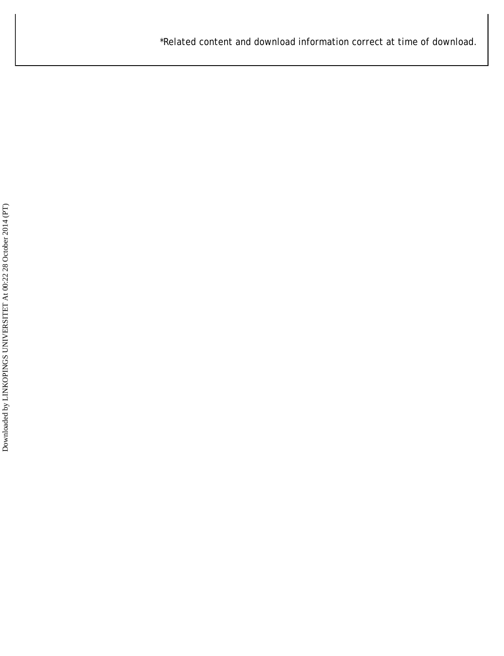\*Related content and download information correct at time of download.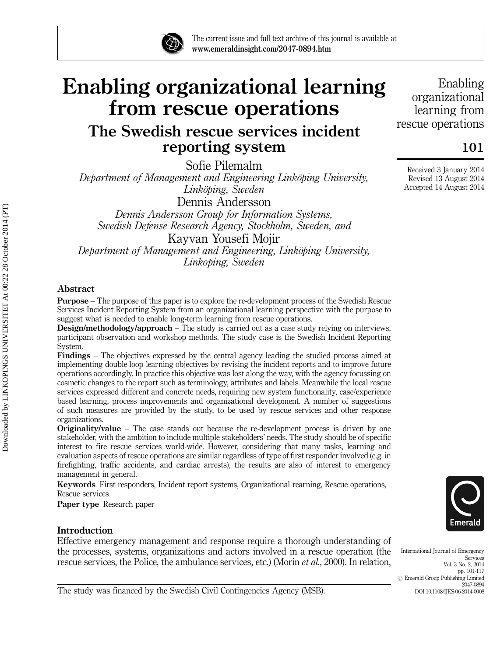

# Enabling organizational learning from rescue operations The Swedish rescue services incident

reporting system

Sofie Pilemalm

Department of Management and Engineering Linköping University, Linköping, Sweden

Dennis Andersson Dennis Andersson Group for Information Systems,

Swedish Defense Research Agency, Stockholm, Sweden, and

Kayvan Yousefi Mojir

Department of Management and Engineering, Linköping University, Linkoping, Sweden

### Abstract

Purpose – The purpose of this paper is to explore the re-development process of the Swedish Rescue Services Incident Reporting System from an organizational learning perspective with the purpose to suggest what is needed to enable long-term learning from rescue operations.

Design/methodology/approach – The study is carried out as a case study relying on interviews, participant observation and workshop methods. The study case is the Swedish Incident Reporting System.

Findings – The objectives expressed by the central agency leading the studied process aimed at implementing double-loop learning objectives by revising the incident reports and to improve future operations accordingly. In practice this objective was lost along the way, with the agency focussing on cosmetic changes to the report such as terminology, attributes and labels. Meanwhile the local rescue services expressed different and concrete needs, requiring new system functionality, case/experience based learning, process improvements and organizational development. A number of suggestions of such measures are provided by the study, to be used by rescue services and other response organizations.

Originality/value – The case stands out because the re-development process is driven by one stakeholder, with the ambition to include multiple stakeholders' needs. The study should be of specific interest to fire rescue services world-wide. However, considering that many tasks, learning and evaluation aspects of rescue operations are similar regardless of type of first responder involved (e.g. in firefighting, traffic accidents, and cardiac arrests), the results are also of interest to emergency management in general.

Keywords First responders, Incident report systems, Organizational rearning, Rescue operations, Rescue services

Paper type Research paper

#### Introduction

Effective emergency management and response require a thorough understanding of the processes, systems, organizations and actors involved in a rescue operation (the rescue services, the Police, the ambulance services, etc.) (Morin *et al.*, 2000). In relation,

Enabling organizational learning from rescue operations

101

Received 3 January 2014 Revised 13 August 2014 Accepted 14 August 2014



International Journal of Emergency Services Vol. 3 No. 2, 2014 pp. 101-117  $\odot$  Emerald Group Publishing Limited  $\frac{2047\cdot0894}{2047\cdot0894}$  DOI 10.1108/IJES-06-2014-0008

The study was financed by the Swedish Civil Contingencies Agency (MSB).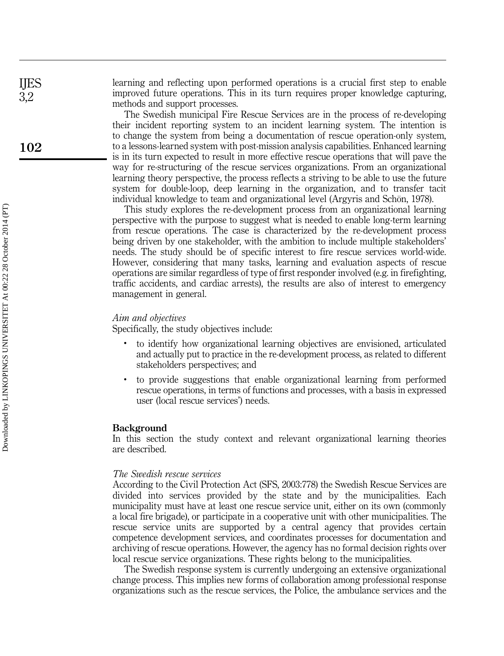learning and reflecting upon performed operations is a crucial first step to enable improved future operations. This in its turn requires proper knowledge capturing, methods and support processes.

The Swedish municipal Fire Rescue Services are in the process of re-developing their incident reporting system to an incident learning system. The intention is to change the system from being a documentation of rescue operation-only system, to a lessons-learned system with post-mission analysis capabilities. Enhanced learning is in its turn expected to result in more effective rescue operations that will pave the way for re-structuring of the rescue services organizations. From an organizational learning theory perspective, the process reflects a striving to be able to use the future system for double-loop, deep learning in the organization, and to transfer tacit individual knowledge to team and organizational level (Argyris and Schön, 1978).

This study explores the re-development process from an organizational learning perspective with the purpose to suggest what is needed to enable long-term learning from rescue operations. The case is characterized by the re-development process being driven by one stakeholder, with the ambition to include multiple stakeholders' needs. The study should be of specific interest to fire rescue services world-wide. However, considering that many tasks, learning and evaluation aspects of rescue operations are similar regardless of type of first responder involved (e.g. in firefighting, traffic accidents, and cardiac arrests), the results are also of interest to emergency management in general.

#### Aim and objectives

Specifically, the study objectives include:

- . to identify how organizational learning objectives are envisioned, articulated and actually put to practice in the re-development process, as related to different stakeholders perspectives; and
- . to provide suggestions that enable organizational learning from performed rescue operations, in terms of functions and processes, with a basis in expressed user (local rescue services') needs.

#### Background

In this section the study context and relevant organizational learning theories are described.

#### The Swedish rescue services

According to the Civil Protection Act (SFS, 2003:778) the Swedish Rescue Services are divided into services provided by the state and by the municipalities. Each municipality must have at least one rescue service unit, either on its own (commonly a local fire brigade), or participate in a cooperative unit with other municipalities. The rescue service units are supported by a central agency that provides certain competence development services, and coordinates processes for documentation and archiving of rescue operations. However, the agency has no formal decision rights over local rescue service organizations. These rights belong to the municipalities.

The Swedish response system is currently undergoing an extensive organizational change process. This implies new forms of collaboration among professional response organizations such as the rescue services, the Police, the ambulance services and the

102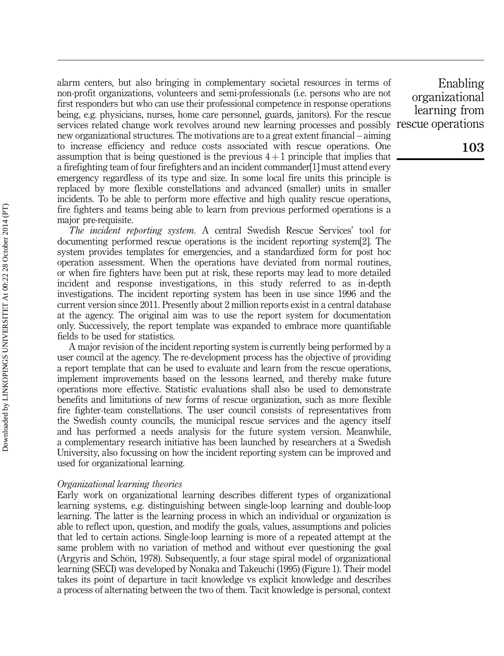alarm centers, but also bringing in complementary societal resources in terms of non-profit organizations, volunteers and semi-professionals (i.e. persons who are not first responders but who can use their professional competence in response operations being, e.g. physicians, nurses, home care personnel, guards, janitors). For the rescue services related change work revolves around new learning processes and possibly new organizational structures. The motivations are to a great extent financial – aiming to increase efficiency and reduce costs associated with rescue operations. One assumption that is being questioned is the previous  $4+1$  principle that implies that a firefighting team of four firefighters and an incident commander[1] must attend every emergency regardless of its type and size. In some local fire units this principle is replaced by more flexible constellations and advanced (smaller) units in smaller incidents. To be able to perform more effective and high quality rescue operations, fire fighters and teams being able to learn from previous performed operations is a major pre-requisite.

The incident reporting system. A central Swedish Rescue Services' tool for documenting performed rescue operations is the incident reporting system[2]. The system provides templates for emergencies, and a standardized form for post hoc operation assessment. When the operations have deviated from normal routines, or when fire fighters have been put at risk, these reports may lead to more detailed incident and response investigations, in this study referred to as in-depth investigations. The incident reporting system has been in use since 1996 and the current version since 2011. Presently about 2 million reports exist in a central database at the agency. The original aim was to use the report system for documentation only. Successively, the report template was expanded to embrace more quantifiable fields to be used for statistics.

A major revision of the incident reporting system is currently being performed by a user council at the agency. The re-development process has the objective of providing a report template that can be used to evaluate and learn from the rescue operations, implement improvements based on the lessons learned, and thereby make future operations more effective. Statistic evaluations shall also be used to demonstrate benefits and limitations of new forms of rescue organization, such as more flexible fire fighter-team constellations. The user council consists of representatives from the Swedish county councils, the municipal rescue services and the agency itself and has performed a needs analysis for the future system version. Meanwhile, a complementary research initiative has been launched by researchers at a Swedish University, also focussing on how the incident reporting system can be improved and used for organizational learning.

#### Organizational learning theories

Early work on organizational learning describes different types of organizational learning systems, e.g. distinguishing between single-loop learning and double-loop learning. The latter is the learning process in which an individual or organization is able to reflect upon, question, and modify the goals, values, assumptions and policies that led to certain actions. Single-loop learning is more of a repeated attempt at the same problem with no variation of method and without ever questioning the goal (Argyris and Schön, 1978). Subsequently, a four stage spiral model of organizational learning (SECI) was developed by Nonaka and Takeuchi (1995) (Figure 1). Their model takes its point of departure in tacit knowledge vs explicit knowledge and describes a process of alternating between the two of them. Tacit knowledge is personal, context

Enabling organizational learning from rescue operations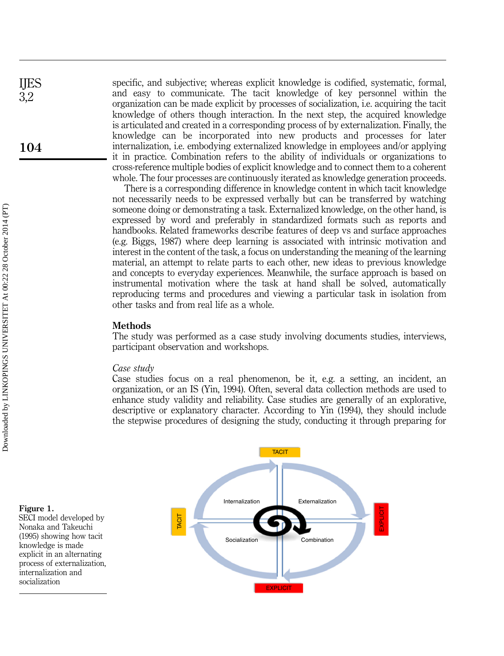specific, and subjective; whereas explicit knowledge is codified, systematic, formal, and easy to communicate. The tacit knowledge of key personnel within the organization can be made explicit by processes of socialization, i.e. acquiring the tacit knowledge of others though interaction. In the next step, the acquired knowledge is articulated and created in a corresponding process of by externalization. Finally, the knowledge can be incorporated into new products and processes for later internalization, i.e. embodying externalized knowledge in employees and/or applying it in practice. Combination refers to the ability of individuals or organizations to cross-reference multiple bodies of explicit knowledge and to connect them to a coherent whole. The four processes are continuously iterated as knowledge generation proceeds.

There is a corresponding difference in knowledge content in which tacit knowledge not necessarily needs to be expressed verbally but can be transferred by watching someone doing or demonstrating a task. Externalized knowledge, on the other hand, is expressed by word and preferably in standardized formats such as reports and handbooks. Related frameworks describe features of deep vs and surface approaches (e.g. Biggs, 1987) where deep learning is associated with intrinsic motivation and interest in the content of the task, a focus on understanding the meaning of the learning material, an attempt to relate parts to each other, new ideas to previous knowledge and concepts to everyday experiences. Meanwhile, the surface approach is based on instrumental motivation where the task at hand shall be solved, automatically reproducing terms and procedures and viewing a particular task in isolation from other tasks and from real life as a whole.

#### Methods

The study was performed as a case study involving documents studies, interviews, participant observation and workshops.

#### Case study

Case studies focus on a real phenomenon, be it, e.g. a setting, an incident, an organization, or an IS (Yin, 1994). Often, several data collection methods are used to enhance study validity and reliability. Case studies are generally of an explorative, descriptive or explanatory character. According to Yin (1994), they should include the stepwise procedures of designing the study, conducting it through preparing for



Figure 1. SECI model developed by Nonaka and Takeuchi (1995) showing how tacit knowledge is made explicit in an alternating process of externalization, internalization and socialization

104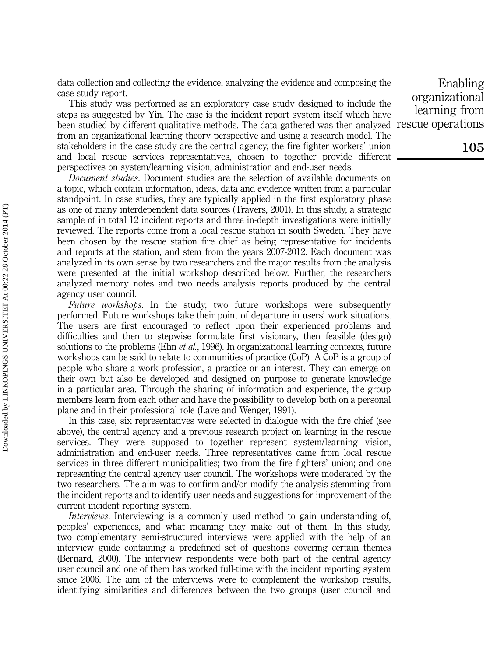data collection and collecting the evidence, analyzing the evidence and composing the case study report.

This study was performed as an exploratory case study designed to include the steps as suggested by Yin. The case is the incident report system itself which have been studied by different qualitative methods. The data gathered was then analyzed rescue operations from an organizational learning theory perspective and using a research model. The stakeholders in the case study are the central agency, the fire fighter workers' union and local rescue services representatives, chosen to together provide different perspectives on system/learning vision, administration and end-user needs.

Document studies. Document studies are the selection of available documents on a topic, which contain information, ideas, data and evidence written from a particular standpoint. In case studies, they are typically applied in the first exploratory phase as one of many interdependent data sources (Travers, 2001). In this study, a strategic sample of in total 12 incident reports and three in-depth investigations were initially reviewed. The reports come from a local rescue station in south Sweden. They have been chosen by the rescue station fire chief as being representative for incidents and reports at the station, and stem from the years 2007-2012. Each document was analyzed in its own sense by two researchers and the major results from the analysis were presented at the initial workshop described below. Further, the researchers analyzed memory notes and two needs analysis reports produced by the central agency user council.

Future workshops. In the study, two future workshops were subsequently performed. Future workshops take their point of departure in users' work situations. The users are first encouraged to reflect upon their experienced problems and difficulties and then to stepwise formulate first visionary, then feasible (design) solutions to the problems (Ehn *et al.*, 1996). In organizational learning contexts, future workshops can be said to relate to communities of practice (CoP). A CoP is a group of people who share a work profession, a practice or an interest. They can emerge on their own but also be developed and designed on purpose to generate knowledge in a particular area. Through the sharing of information and experience, the group members learn from each other and have the possibility to develop both on a personal plane and in their professional role (Lave and Wenger, 1991).

In this case, six representatives were selected in dialogue with the fire chief (see above), the central agency and a previous research project on learning in the rescue services. They were supposed to together represent system/learning vision, administration and end-user needs. Three representatives came from local rescue services in three different municipalities; two from the fire fighters' union; and one representing the central agency user council. The workshops were moderated by the two researchers. The aim was to confirm and/or modify the analysis stemming from the incident reports and to identify user needs and suggestions for improvement of the current incident reporting system.

Interviews. Interviewing is a commonly used method to gain understanding of, peoples' experiences, and what meaning they make out of them. In this study, two complementary semi-structured interviews were applied with the help of an interview guide containing a predefined set of questions covering certain themes (Bernard, 2000). The interview respondents were both part of the central agency user council and one of them has worked full-time with the incident reporting system since 2006. The aim of the interviews were to complement the workshop results, identifying similarities and differences between the two groups (user council and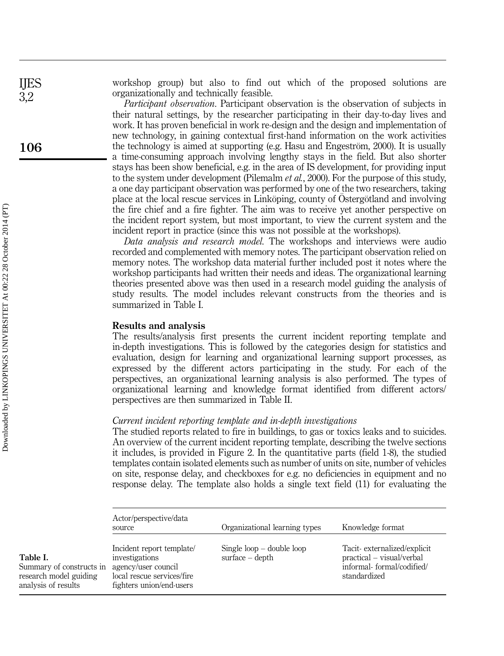workshop group) but also to find out which of the proposed solutions are organizationally and technically feasible.

*Participant observation.* Participant observation is the observation of subjects in their natural settings, by the researcher participating in their day-to-day lives and work. It has proven beneficial in work re-design and the design and implementation of new technology, in gaining contextual first-hand information on the work activities the technology is aimed at supporting (e.g. Hasu and Engeström, 2000). It is usually a time-consuming approach involving lengthy stays in the field. But also shorter stays has been show beneficial, e.g. in the area of IS development, for providing input to the system under development (Pilemalm *et al.*, 2000). For the purpose of this study, a one day participant observation was performed by one of the two researchers, taking place at the local rescue services in Linkoping, county of Ostergotland and involving the fire chief and a fire fighter. The aim was to receive yet another perspective on the incident report system, but most important, to view the current system and the incident report in practice (since this was not possible at the workshops).

Data analysis and research model. The workshops and interviews were audio recorded and complemented with memory notes. The participant observation relied on memory notes. The workshop data material further included post it notes where the workshop participants had written their needs and ideas. The organizational learning theories presented above was then used in a research model guiding the analysis of study results. The model includes relevant constructs from the theories and is summarized in Table I.

#### Results and analysis

The results/analysis first presents the current incident reporting template and in-depth investigations. This is followed by the categories design for statistics and evaluation, design for learning and organizational learning support processes, as expressed by the different actors participating in the study. For each of the perspectives, an organizational learning analysis is also performed. The types of organizational learning and knowledge format identified from different actors/ perspectives are then summarized in Table II.

#### Current incident reporting template and in-depth investigations

The studied reports related to fire in buildings, to gas or toxics leaks and to suicides. An overview of the current incident reporting template, describing the twelve sections it includes, is provided in Figure 2. In the quantitative parts (field 1-8), the studied templates contain isolated elements such as number of units on site, number of vehicles on site, response delay, and checkboxes for e.g. no deficiencies in equipment and no response delay. The template also holds a single text field (11) for evaluating the

|                                                                                       | Actor/perspective/data<br>source                                                                                             | Organizational learning types                      | Knowledge format                                                                                        |
|---------------------------------------------------------------------------------------|------------------------------------------------------------------------------------------------------------------------------|----------------------------------------------------|---------------------------------------------------------------------------------------------------------|
| Table I.<br>Summary of constructs in<br>research model guiding<br>analysis of results | Incident report template/<br>investigations<br>agency/user council<br>local rescue services/fire<br>fighters union/end-users | Single $loop$ – double $loop$<br>$surface - depth$ | Tacit-externalized/explicit<br>$practical - visual/verbal$<br>informal-formal/codified/<br>standardized |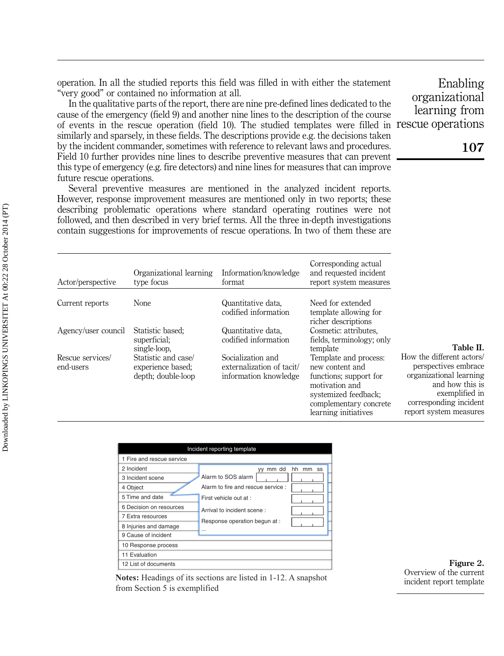operation. In all the studied reports this field was filled in with either the statement "very good" or contained no information at all.

In the qualitative parts of the report, there are nine pre-defined lines dedicated to the cause of the emergency (field 9) and another nine lines to the description of the course of events in the rescue operation (field 10). The studied templates were filled in rescue operations similarly and sparsely, in these fields. The descriptions provide e.g. the decisions taken by the incident commander, sometimes with reference to relevant laws and procedures. Field 10 further provides nine lines to describe preventive measures that can prevent this type of emergency (e.g. fire detectors) and nine lines for measures that can improve future rescue operations.

Several preventive measures are mentioned in the analyzed incident reports. However, response improvement measures are mentioned only in two reports; these describing problematic operations where standard operating routines were not followed, and then described in very brief terms. All the three in-depth investigations contain suggestions for improvements of rescue operations. In two of them these are

| Actor/perspective             | Organizational learning<br>type focus                          | Information/knowledge<br>format                                         | Corresponding actual<br>and requested incident<br>report system measures |       |
|-------------------------------|----------------------------------------------------------------|-------------------------------------------------------------------------|--------------------------------------------------------------------------|-------|
| Current reports               | None                                                           | Quantitative data,<br>codified information                              | Need for extended<br>template allowing for<br>richer descriptions        |       |
| Agency/user council           | Statistic based:<br>superficial;<br>single-loop.               | Quantitative data,<br>codified information                              | Cosmetic: attributes.<br>fields, terminology; only<br>template           |       |
| Rescue services/<br>end-users | Statistic and case/<br>experience based;<br>depth; double-loop | Socialization and<br>externalization of tacit/<br>information knowledge | Template and process:<br>new content and<br>functions; support for       | $H_0$ |

motivation and systemized feedback; complementary concrete learning initiatives

| тане п.                   |
|---------------------------|
| How the different actors/ |
| perspectives embrace      |
| organizational learning   |
| and how this is           |
| exemplified in            |
| corresponding incident    |
| report system measures    |
|                           |

Table II.

| Incident reporting template |                                    |  |  |  |
|-----------------------------|------------------------------------|--|--|--|
| 1 Fire and rescue service   |                                    |  |  |  |
| 2 Incident                  | hh<br>mm dd<br>mm ss<br><b>VV</b>  |  |  |  |
| 3 Incident scene            | Alarm to SOS alarm                 |  |  |  |
| 4 Object                    | Alarm to fire and rescue service : |  |  |  |
| 5 Time and date             | First vehicle out at :             |  |  |  |
| 6 Decision on resources     | Arrival to incident scene:         |  |  |  |
| 7 Extra resources           | Response operation begun at :      |  |  |  |
| 8 Injuries and damage       |                                    |  |  |  |
| 9 Cause of incident         |                                    |  |  |  |
| 10 Response process         |                                    |  |  |  |
| 11 Evaluation               |                                    |  |  |  |
| 12 List of documents        |                                    |  |  |  |

Figure 2. Overview of the current incident report template

**Notes:** Headings of its sections are listed in 1-12. A snapshot from Section 5 is exemplified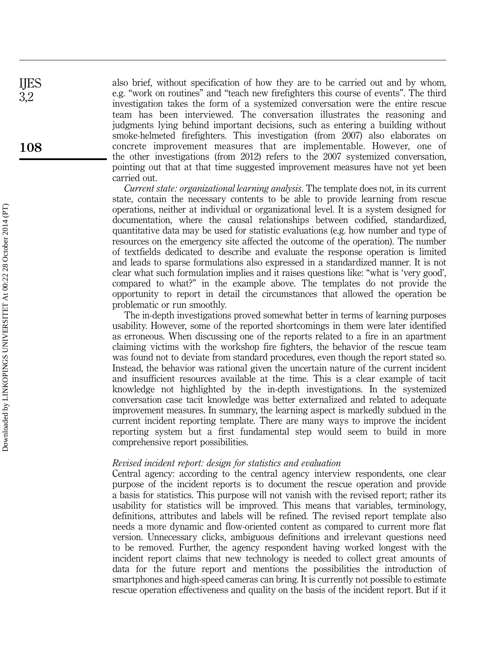also brief, without specification of how they are to be carried out and by whom, e.g. "work on routines" and "teach new firefighters this course of events". The third investigation takes the form of a systemized conversation were the entire rescue team has been interviewed. The conversation illustrates the reasoning and judgments lying behind important decisions, such as entering a building without smoke-helmeted firefighters. This investigation (from 2007) also elaborates on concrete improvement measures that are implementable. However, one of the other investigations (from 2012) refers to the 2007 systemized conversation, pointing out that at that time suggested improvement measures have not yet been carried out.

Current state: organizational learning analysis. The template does not, in its current state, contain the necessary contents to be able to provide learning from rescue operations, neither at individual or organizational level. It is a system designed for documentation, where the causal relationships between codified, standardized, quantitative data may be used for statistic evaluations (e.g. how number and type of resources on the emergency site affected the outcome of the operation). The number of textfields dedicated to describe and evaluate the response operation is limited and leads to sparse formulations also expressed in a standardized manner. It is not clear what such formulation implies and it raises questions like: "what is 'very good', compared to what?" in the example above. The templates do not provide the opportunity to report in detail the circumstances that allowed the operation be problematic or run smoothly.

The in-depth investigations proved somewhat better in terms of learning purposes usability. However, some of the reported shortcomings in them were later identified as erroneous. When discussing one of the reports related to a fire in an apartment claiming victims with the workshop fire fighters, the behavior of the rescue team was found not to deviate from standard procedures, even though the report stated so. Instead, the behavior was rational given the uncertain nature of the current incident and insufficient resources available at the time. This is a clear example of tacit knowledge not highlighted by the in-depth investigations. In the systemized conversation case tacit knowledge was better externalized and related to adequate improvement measures. In summary, the learning aspect is markedly subdued in the current incident reporting template. There are many ways to improve the incident reporting system but a first fundamental step would seem to build in more comprehensive report possibilities.

#### Revised incident report: design for statistics and evaluation

Central agency: according to the central agency interview respondents, one clear purpose of the incident reports is to document the rescue operation and provide a basis for statistics. This purpose will not vanish with the revised report; rather its usability for statistics will be improved. This means that variables, terminology, definitions, attributes and labels will be refined. The revised report template also needs a more dynamic and flow-oriented content as compared to current more flat version. Unnecessary clicks, ambiguous definitions and irrelevant questions need to be removed. Further, the agency respondent having worked longest with the incident report claims that new technology is needed to collect great amounts of data for the future report and mentions the possibilities the introduction of smartphones and high-speed cameras can bring. It is currently not possible to estimate rescue operation effectiveness and quality on the basis of the incident report. But if it

108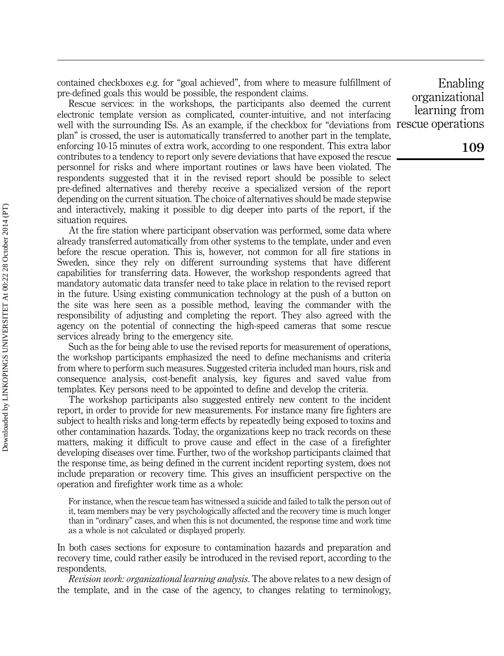contained checkboxes e.g. for "goal achieved", from where to measure fulfillment of pre-defined goals this would be possible, the respondent claims.

Rescue services: in the workshops, the participants also deemed the current electronic template version as complicated, counter-intuitive, and not interfacing well with the surrounding ISs. As an example, if the checkbox for "deviations from rescue operations plan" is crossed, the user is automatically transferred to another part in the template, enforcing 10-15 minutes of extra work, according to one respondent. This extra labor contributes to a tendency to report only severe deviations that have exposed the rescue personnel for risks and where important routines or laws have been violated. The respondents suggested that it in the revised report should be possible to select pre-defined alternatives and thereby receive a specialized version of the report depending on the current situation. The choice of alternatives should be made stepwise and interactively, making it possible to dig deeper into parts of the report, if the situation requires.

At the fire station where participant observation was performed, some data where already transferred automatically from other systems to the template, under and even before the rescue operation. This is, however, not common for all fire stations in Sweden, since they rely on different surrounding systems that have different capabilities for transferring data. However, the workshop respondents agreed that mandatory automatic data transfer need to take place in relation to the revised report in the future. Using existing communication technology at the push of a button on the site was here seen as a possible method, leaving the commander with the responsibility of adjusting and completing the report. They also agreed with the agency on the potential of connecting the high-speed cameras that some rescue services already bring to the emergency site.

Such as the for being able to use the revised reports for measurement of operations, the workshop participants emphasized the need to define mechanisms and criteria from where to perform such measures. Suggested criteria included man hours, risk and consequence analysis, cost-benefit analysis, key figures and saved value from templates. Key persons need to be appointed to define and develop the criteria.

The workshop participants also suggested entirely new content to the incident report, in order to provide for new measurements. For instance many fire fighters are subject to health risks and long-term effects by repeatedly being exposed to toxins and other contamination hazards. Today, the organizations keep no track records on these matters, making it difficult to prove cause and effect in the case of a firefighter developing diseases over time. Further, two of the workshop participants claimed that the response time, as being defined in the current incident reporting system, does not include preparation or recovery time. This gives an insufficient perspective on the operation and firefighter work time as a whole:

For instance, when the rescue team has witnessed a suicide and failed to talk the person out of it, team members may be very psychologically affected and the recovery time is much longer than in "ordinary" cases, and when this is not documented, the response time and work time as a whole is not calculated or displayed properly.

In both cases sections for exposure to contamination hazards and preparation and recovery time, could rather easily be introduced in the revised report, according to the respondents.

Revision work: organizational learning analysis. The above relates to a new design of the template, and in the case of the agency, to changes relating to terminology,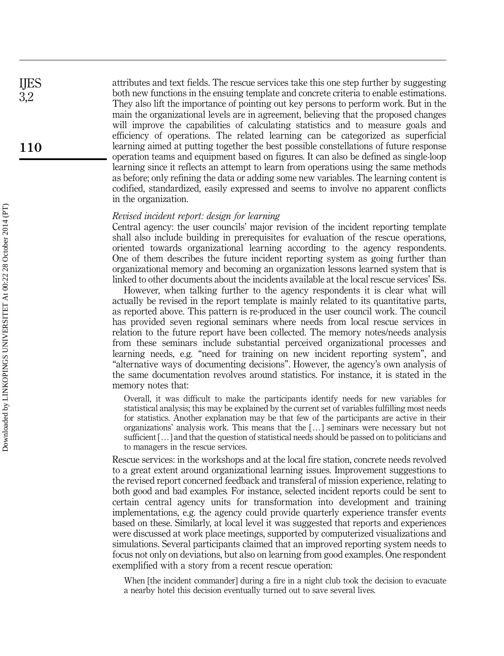attributes and text fields. The rescue services take this one step further by suggesting both new functions in the ensuing template and concrete criteria to enable estimations. They also lift the importance of pointing out key persons to perform work. But in the main the organizational levels are in agreement, believing that the proposed changes will improve the capabilities of calculating statistics and to measure goals and efficiency of operations. The related learning can be categorized as superficial learning aimed at putting together the best possible constellations of future response operation teams and equipment based on figures. It can also be defined as single-loop learning since it reflects an attempt to learn from operations using the same methods as before; only refining the data or adding some new variables. The learning content is codified, standardized, easily expressed and seems to involve no apparent conflicts in the organization.

#### Revised incident report: design for learning

Central agency: the user councils' major revision of the incident reporting template shall also include building in prerequisites for evaluation of the rescue operations, oriented towards organizational learning according to the agency respondents. One of them describes the future incident reporting system as going further than organizational memory and becoming an organization lessons learned system that is linked to other documents about the incidents available at the local rescue services' ISs.

However, when talking further to the agency respondents it is clear what will actually be revised in the report template is mainly related to its quantitative parts, as reported above. This pattern is re-produced in the user council work. The council has provided seven regional seminars where needs from local rescue services in relation to the future report have been collected. The memory notes/needs analysis from these seminars include substantial perceived organizational processes and learning needs, e.g. "need for training on new incident reporting system", and "alternative ways of documenting decisions". However, the agency's own analysis of the same documentation revolves around statistics. For instance, it is stated in the memory notes that:

Overall, it was difficult to make the participants identify needs for new variables for statistical analysis; this may be explained by the current set of variables fulfilling most needs for statistics. Another explanation may be that few of the participants are active in their organizations' analysis work. This means that the  $[\,\ldots]$  seminars were necessary but not sufficient [...] and that the question of statistical needs should be passed on to politicians and to managers in the rescue services.

Rescue services: in the workshops and at the local fire station, concrete needs revolved to a great extent around organizational learning issues. Improvement suggestions to the revised report concerned feedback and transferal of mission experience, relating to both good and bad examples. For instance, selected incident reports could be sent to certain central agency units for transformation into development and training implementations, e.g. the agency could provide quarterly experience transfer events based on these. Similarly, at local level it was suggested that reports and experiences were discussed at work place meetings, supported by computerized visualizations and simulations. Several participants claimed that an improved reporting system needs to focus not only on deviations, but also on learning from good examples. One respondent exemplified with a story from a recent rescue operation:

When [the incident commander] during a fire in a night club took the decision to evacuate a nearby hotel this decision eventually turned out to save several lives.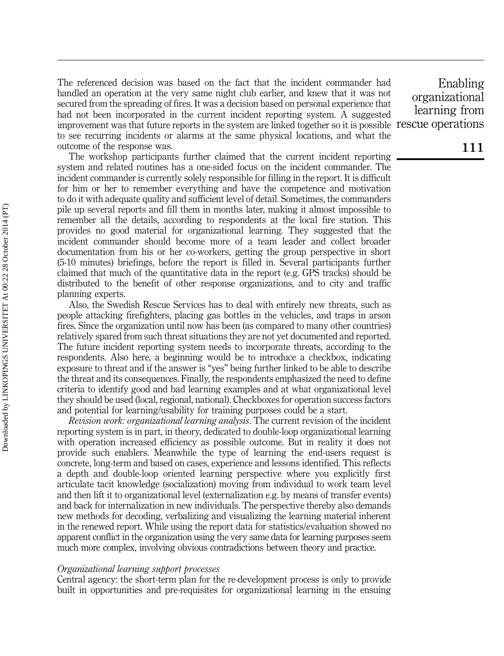The referenced decision was based on the fact that the incident commander had handled an operation at the very same night club earlier, and knew that it was not secured from the spreading of fires. It was a decision based on personal experience that had not been incorporated in the current incident reporting system. A suggested improvement was that future reports in the system are linked together so it is possible rescue operations to see recurring incidents or alarms at the same physical locations, and what the outcome of the response was.

The workshop participants further claimed that the current incident reporting system and related routines has a one-sided focus on the incident commander. The incident commander is currently solely responsible for filling in the report. It is difficult for him or her to remember everything and have the competence and motivation to do it with adequate quality and sufficient level of detail. Sometimes, the commanders pile up several reports and fill them in months later, making it almost impossible to remember all the details, according to respondents at the local fire station. This provides no good material for organizational learning. They suggested that the incident commander should become more of a team leader and collect broader documentation from his or her co-workers, getting the group perspective in short (5-10 minutes) briefings, before the report is filled in. Several participants further claimed that much of the quantitative data in the report (e.g. GPS tracks) should be distributed to the benefit of other response organizations, and to city and traffic planning experts.

Also, the Swedish Rescue Services has to deal with entirely new threats, such as people attacking firefighters, placing gas bottles in the vehicles, and traps in arson fires. Since the organization until now has been (as compared to many other countries) relatively spared from such threat situations they are not yet documented and reported. The future incident reporting system needs to incorporate threats, according to the respondents. Also here, a beginning would be to introduce a checkbox, indicating exposure to threat and if the answer is "yes" being further linked to be able to describe the threat and its consequences. Finally, the respondents emphasized the need to define criteria to identify good and bad learning examples and at what organizational level they should be used (local, regional, national). Checkboxes for operation success factors and potential for learning/usability for training purposes could be a start.

Revision work: organizational learning analysis. The current revision of the incident reporting system is in part, in theory, dedicated to double-loop organizational learning with operation increased efficiency as possible outcome. But in reality it does not provide such enablers. Meanwhile the type of learning the end-users request is concrete, long-term and based on cases, experience and lessons identified. This reflects a depth and double-loop oriented learning perspective where you explicitly first articulate tacit knowledge (socialization) moving from individual to work team level and then lift it to organizational level (externalization e.g. by means of transfer events) and back for internalization in new individuals. The perspective thereby also demands new methods for decoding, verbalizing and visualizing the learning material inherent in the renewed report. While using the report data for statistics/evaluation showed no apparent conflict in the organization using the very same data for learning purposes seem much more complex, involving obvious contradictions between theory and practice.

#### Organizational learning support processes

Central agency: the short-term plan for the re-development process is only to provide built in opportunities and pre-requisites for organizational learning in the ensuing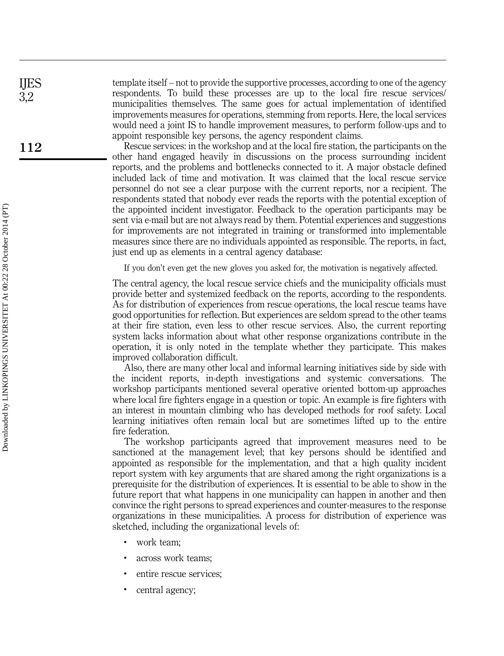template itself – not to provide the supportive processes, according to one of the agency respondents. To build these processes are up to the local fire rescue services/ municipalities themselves. The same goes for actual implementation of identified improvements measures for operations, stemming from reports. Here, the local services would need a joint IS to handle improvement measures, to perform follow-ups and to appoint responsible key persons, the agency respondent claims.

Rescue services: in the workshop and at the local fire station, the participants on the other hand engaged heavily in discussions on the process surrounding incident reports, and the problems and bottlenecks connected to it. A major obstacle defined included lack of time and motivation. It was claimed that the local rescue service personnel do not see a clear purpose with the current reports, nor a recipient. The respondents stated that nobody ever reads the reports with the potential exception of the appointed incident investigator. Feedback to the operation participants may be sent via e-mail but are not always read by them. Potential experiences and suggestions for improvements are not integrated in training or transformed into implementable measures since there are no individuals appointed as responsible. The reports, in fact, just end up as elements in a central agency database:

If you don't even get the new gloves you asked for, the motivation is negatively affected.

The central agency, the local rescue service chiefs and the municipality officials must provide better and systemized feedback on the reports, according to the respondents. As for distribution of experiences from rescue operations, the local rescue teams have good opportunities for reflection. But experiences are seldom spread to the other teams at their fire station, even less to other rescue services. Also, the current reporting system lacks information about what other response organizations contribute in the operation, it is only noted in the template whether they participate. This makes improved collaboration difficult.

Also, there are many other local and informal learning initiatives side by side with the incident reports, in-depth investigations and systemic conversations. The workshop participants mentioned several operative oriented bottom-up approaches where local fire fighters engage in a question or topic. An example is fire fighters with an interest in mountain climbing who has developed methods for roof safety. Local learning initiatives often remain local but are sometimes lifted up to the entire fire federation.

The workshop participants agreed that improvement measures need to be sanctioned at the management level; that key persons should be identified and appointed as responsible for the implementation, and that a high quality incident report system with key arguments that are shared among the right organizations is a prerequisite for the distribution of experiences. It is essential to be able to show in the future report that what happens in one municipality can happen in another and then convince the right persons to spread experiences and counter-measures to the response organizations in these municipalities. A process for distribution of experience was sketched, including the organizational levels of:

- . work team;
- . across work teams;
- . entire rescue services;
- . central agency;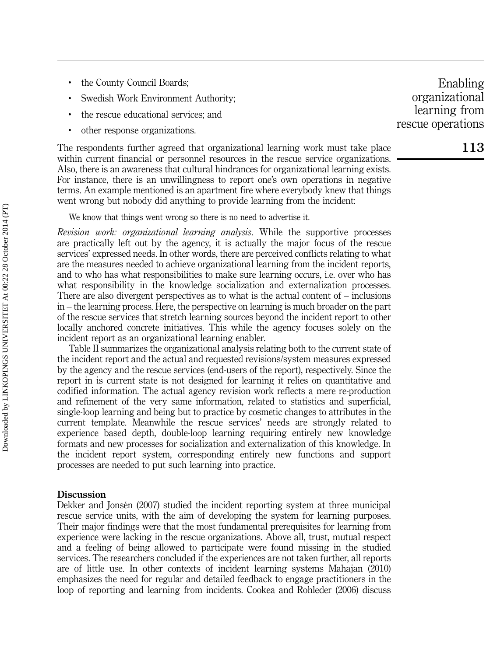. Swedish Work Environment Authority; . the rescue educational services; and . other response organizations.

. the County Council Boards;

The respondents further agreed that organizational learning work must take place within current financial or personnel resources in the rescue service organizations. Also, there is an awareness that cultural hindrances for organizational learning exists. For instance, there is an unwillingness to report one's own operations in negative terms. An example mentioned is an apartment fire where everybody knew that things went wrong but nobody did anything to provide learning from the incident:

We know that things went wrong so there is no need to advertise it.

Revision work: organizational learning analysis. While the supportive processes are practically left out by the agency, it is actually the major focus of the rescue services' expressed needs. In other words, there are perceived conflicts relating to what are the measures needed to achieve organizational learning from the incident reports, and to who has what responsibilities to make sure learning occurs, i.e. over who has what responsibility in the knowledge socialization and externalization processes. There are also divergent perspectives as to what is the actual content of – inclusions in – the learning process. Here, the perspective on learning is much broader on the part of the rescue services that stretch learning sources beyond the incident report to other locally anchored concrete initiatives. This while the agency focuses solely on the incident report as an organizational learning enabler.

Table II summarizes the organizational analysis relating both to the current state of the incident report and the actual and requested revisions/system measures expressed by the agency and the rescue services (end-users of the report), respectively. Since the report in is current state is not designed for learning it relies on quantitative and codified information. The actual agency revision work reflects a mere re-production and refinement of the very same information, related to statistics and superficial, single-loop learning and being but to practice by cosmetic changes to attributes in the current template. Meanwhile the rescue services' needs are strongly related to experience based depth, double-loop learning requiring entirely new knowledge formats and new processes for socialization and externalization of this knowledge. In the incident report system, corresponding entirely new functions and support processes are needed to put such learning into practice.

### **Discussion**

Dekker and Jonsén (2007) studied the incident reporting system at three municipal rescue service units, with the aim of developing the system for learning purposes. Their major findings were that the most fundamental prerequisites for learning from experience were lacking in the rescue organizations. Above all, trust, mutual respect and a feeling of being allowed to participate were found missing in the studied services. The researchers concluded if the experiences are not taken further, all reports are of little use. In other contexts of incident learning systems Mahajan (2010) emphasizes the need for regular and detailed feedback to engage practitioners in the loop of reporting and learning from incidents. Cookea and Rohleder (2006) discuss

Enabling organizational learning from rescue operations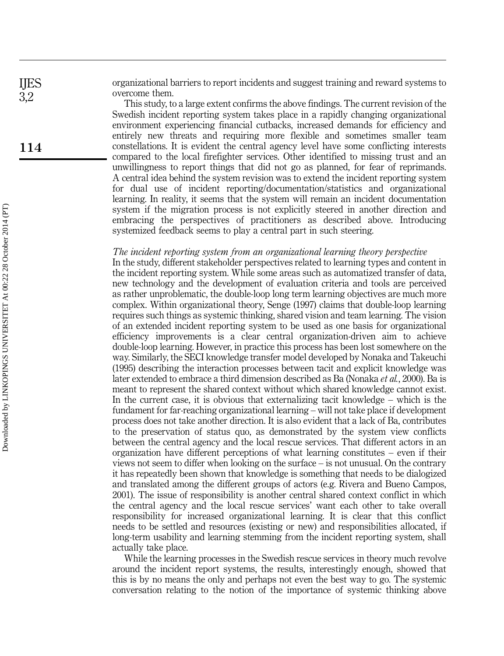organizational barriers to report incidents and suggest training and reward systems to overcome them.

This study, to a large extent confirms the above findings. The current revision of the Swedish incident reporting system takes place in a rapidly changing organizational environment experiencing financial cutbacks, increased demands for efficiency and entirely new threats and requiring more flexible and sometimes smaller team constellations. It is evident the central agency level have some conflicting interests compared to the local firefighter services. Other identified to missing trust and an unwillingness to report things that did not go as planned, for fear of reprimands. A central idea behind the system revision was to extend the incident reporting system for dual use of incident reporting/documentation/statistics and organizational learning. In reality, it seems that the system will remain an incident documentation system if the migration process is not explicitly steered in another direction and embracing the perspectives of practitioners as described above. Introducing systemized feedback seems to play a central part in such steering.

#### The incident reporting system from an organizational learning theory perspective

In the study, different stakeholder perspectives related to learning types and content in the incident reporting system. While some areas such as automatized transfer of data, new technology and the development of evaluation criteria and tools are perceived as rather unproblematic, the double-loop long term learning objectives are much more complex. Within organizational theory, Senge (1997) claims that double-loop learning requires such things as systemic thinking, shared vision and team learning. The vision of an extended incident reporting system to be used as one basis for organizational efficiency improvements is a clear central organization-driven aim to achieve double-loop learning. However, in practice this process has been lost somewhere on the way. Similarly, the SECI knowledge transfer model developed by Nonaka and Takeuchi (1995) describing the interaction processes between tacit and explicit knowledge was later extended to embrace a third dimension described as Ba (Nonaka et al., 2000). Ba is meant to represent the shared context without which shared knowledge cannot exist. In the current case, it is obvious that externalizing tacit knowledge – which is the fundament for far-reaching organizational learning – will not take place if development process does not take another direction. It is also evident that a lack of Ba, contributes to the preservation of status quo, as demonstrated by the system view conflicts between the central agency and the local rescue services. That different actors in an organization have different perceptions of what learning constitutes – even if their views not seem to differ when looking on the surface – is not unusual. On the contrary it has repeatedly been shown that knowledge is something that needs to be dialogized and translated among the different groups of actors (e.g. Rivera and Bueno Campos, 2001). The issue of responsibility is another central shared context conflict in which the central agency and the local rescue services' want each other to take overall responsibility for increased organizational learning. It is clear that this conflict needs to be settled and resources (existing or new) and responsibilities allocated, if long-term usability and learning stemming from the incident reporting system, shall actually take place.

While the learning processes in the Swedish rescue services in theory much revolve around the incident report systems, the results, interestingly enough, showed that this is by no means the only and perhaps not even the best way to go. The systemic conversation relating to the notion of the importance of systemic thinking above

114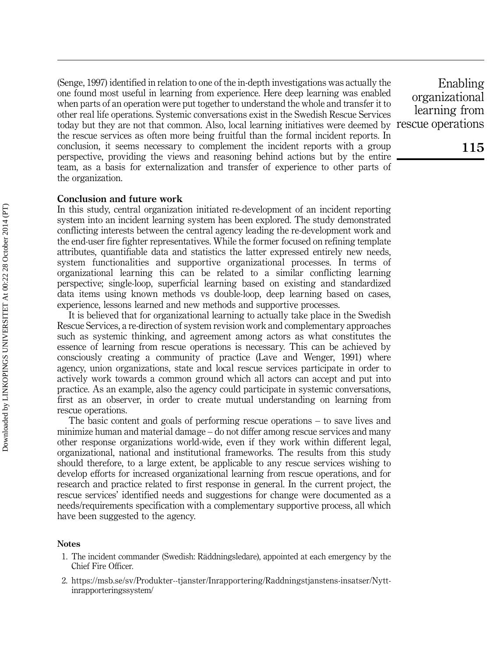(Senge, 1997) identified in relation to one of the in-depth investigations was actually the one found most useful in learning from experience. Here deep learning was enabled when parts of an operation were put together to understand the whole and transfer it to other real life operations. Systemic conversations exist in the Swedish Rescue Services today but they are not that common. Also, local learning initiatives were deemed by rescue operations the rescue services as often more being fruitful than the formal incident reports. In conclusion, it seems necessary to complement the incident reports with a group perspective, providing the views and reasoning behind actions but by the entire team, as a basis for externalization and transfer of experience to other parts of the organization.

### Conclusion and future work

In this study, central organization initiated re-development of an incident reporting system into an incident learning system has been explored. The study demonstrated conflicting interests between the central agency leading the re-development work and the end-user fire fighter representatives. While the former focused on refining template attributes, quantifiable data and statistics the latter expressed entirely new needs, system functionalities and supportive organizational processes. In terms of organizational learning this can be related to a similar conflicting learning perspective; single-loop, superficial learning based on existing and standardized data items using known methods vs double-loop, deep learning based on cases, experience, lessons learned and new methods and supportive processes.

It is believed that for organizational learning to actually take place in the Swedish Rescue Services, a re-direction of system revision work and complementary approaches such as systemic thinking, and agreement among actors as what constitutes the essence of learning from rescue operations is necessary. This can be achieved by consciously creating a community of practice (Lave and Wenger, 1991) where agency, union organizations, state and local rescue services participate in order to actively work towards a common ground which all actors can accept and put into practice. As an example, also the agency could participate in systemic conversations, first as an observer, in order to create mutual understanding on learning from rescue operations.

The basic content and goals of performing rescue operations – to save lives and minimize human and material damage – do not differ among rescue services and many other response organizations world-wide, even if they work within different legal, organizational, national and institutional frameworks. The results from this study should therefore, to a large extent, be applicable to any rescue services wishing to develop efforts for increased organizational learning from rescue operations, and for research and practice related to first response in general. In the current project, the rescue services' identified needs and suggestions for change were documented as a needs/requirements specification with a complementary supportive process, all which have been suggested to the agency.

#### Notes

- 1. The incident commander (Swedish: Räddningsledare), appointed at each emergency by the Chief Fire Officer.
- 2. https://msb.se/sv/Produkter--tjanster/Inrapportering/Raddningstjanstens-insatser/Nyttinrapporteringssystem/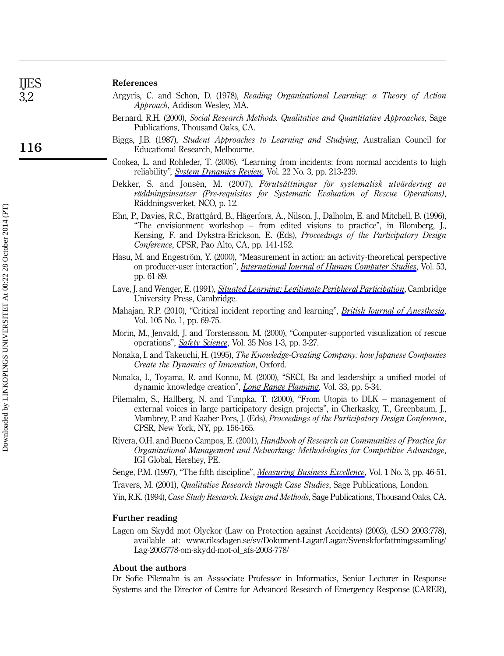| IJES | References                                                                                                                                                                                                                                                                                                                      |
|------|---------------------------------------------------------------------------------------------------------------------------------------------------------------------------------------------------------------------------------------------------------------------------------------------------------------------------------|
| 3,2  | Argyris, C. and Schön, D. (1978), Reading Organizational Learning: a Theory of Action<br>Approach, Addison Wesley, MA.                                                                                                                                                                                                          |
|      | Bernard, R.H. (2000), Social Research Methods. Qualitative and Quantitative Approaches, Sage<br>Publications, Thousand Oaks, CA.                                                                                                                                                                                                |
| 116  | Biggs, J.B. (1987), Student Approaches to Learning and Studying, Australian Council for<br>Educational Research, Melbourne.                                                                                                                                                                                                     |
|      | Cookea, L. and Rohleder, T. (2006), "Learning from incidents: from normal accidents to high<br>reliability", <i>System Dynamics Review</i> , Vol. 22 No. 3, pp. 213-239.                                                                                                                                                        |
|      | Dekker, S. and Jonsén, M. (2007), Förutsättningar för systematisk utvärdering av<br>räddningsinsatser (Pre-requisites for Systematic Evaluation of Rescue Operations),<br>Räddningsverket, NCO, p. 12.                                                                                                                          |
|      | Ehn, P., Davies, R.C., Brattgård, B., Hägerfors, A., Nilson, J., Dalholm, E. and Mitchell, B. (1996),<br>"The envisionment workshop – from edited visions to practice", in Blomberg, J.,<br>Kensing, F. and Dykstra-Erickson, E. (Eds), Proceedings of the Participatory Design<br>Conference, CPSR, Pao Alto, CA, pp. 141-152. |
|      | Hasu, M. and Engeström, Y. (2000), "Measurement in action: an activity-theoretical perspective<br>on producer-user interaction", <i>International Journal of Human Computer Studies</i> , Vol. 53,<br>pp. 61-89.                                                                                                                |
|      | Lave, J. and Wenger, E. (1991), <i>Situated Learning: Legitimate Peripheral Participation</i> , Cambridge<br>University Press, Cambridge.                                                                                                                                                                                       |
|      | Mahajan, R.P. (2010), "Critical incident reporting and learning", <i>British Journal of Anesthesia</i> ,<br>Vol. 105 No. 1, pp. 69-75.                                                                                                                                                                                          |
|      | Morin, M., Jenvald, J. and Torstensson, M. (2000), "Computer-supported visualization of rescue<br>operations", Safety Science, Vol. 35 Nos 1-3, pp. 3-27.                                                                                                                                                                       |
|      | Nonaka, I. and Takeuchi, H. (1995), The Knowledge-Creating Company: how Japanese Companies<br>Create the Dynamics of Innovation, Oxford.                                                                                                                                                                                        |
|      | Nonaka, I., Toyama, R. and Konno, M. (2000), "SECI, Ba and leadership: a unified model of<br>dynamic knowledge creation", <i>Long Range Planning</i> , Vol. 33, pp. 5-34.                                                                                                                                                       |
|      | Pilemalm, S., Hallberg, N. and Timpka, T. (2000), "From Utopia to DLK - management of<br>external voices in large participatory design projects", in Cherkasky, T., Greenbaum, J.,<br>Mambrey, P. and Kaaber Pors, J. (Eds), Proceedings of the Participatory Design Conference,<br>CPSR, New York, NY, pp. 156-165.            |
|      | Rivera, O.H. and Bueno Campos, E. (2001), Handbook of Research on Communities of Practice for<br>Organizational Management and Networking: Methodologies for Competitive Advantage,<br>IGI Global, Hershey, PE.                                                                                                                 |
|      | Senge, P.M. (1997), "The fifth discipline", <i>Measuring Business Excellence</i> , Vol. 1 No. 3, pp. 46-51.                                                                                                                                                                                                                     |
|      | Travers, M. (2001), Qualitative Research through Case Studies, Sage Publications, London.                                                                                                                                                                                                                                       |
|      | Yin, R.K. (1994), Case Study Research. Design and Methods, Sage Publications, Thousand Oaks, CA.                                                                                                                                                                                                                                |

### Further reading

Lagen om Skydd mot Olyckor (Law on Protection against Accidents) (2003), (LSO 2003:778), available at: www.riksdagen.se/sv/Dokument-Lagar/Lagar/Svenskforfattningssamling/ Lag-2003778-om-skydd-mot-ol\_sfs-2003-778/

### About the authors

Dr Sofie Pilemalm is an Asssociate Professor in Informatics, Senior Lecturer in Response Systems and the Director of Centre for Advanced Research of Emergency Response (CARER),